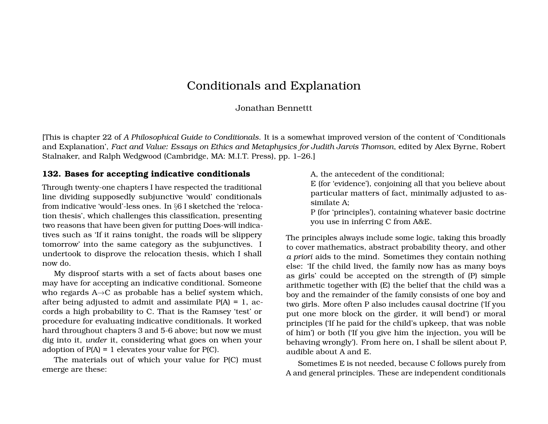# Conditionals and Explanation

#### Jonathan Bennettt

[This is chapter 22 of *A Philosophical Guide to Conditionals*. It is a somewhat improved version of the content of 'Conditionals and Explanation', *Fact and Value: Essays on Ethics and Metaphysics for Judith Jarvis Thomson*, edited by Alex Byrne, Robert Stalnaker, and Ralph Wedgwood (Cambridge, MA: M.I.T. Press), pp. 1–26.]

# **132. Bases for accepting indicative conditionals**

Through twenty-one chapters I have respected the traditional line dividing supposedly subjunctive 'would' conditionals from indicative 'would'-less ones. In §6 I sketched the 'relocation thesis', which challenges this classification, presenting two reasons that have been given for putting Does-will indicatives such as 'If it rains tonight, the roads will be slippery tomorrow' into the same category as the subjunctives. I undertook to disprove the relocation thesis, which I shall now do.

My disproof starts with a set of facts about bases one may have for accepting an indicative conditional. Someone who regards A→C as probable has a belief system which, after being adjusted to admit and assimilate  $P(A) = 1$ , accords a high probability to C. That is the Ramsey 'test' or procedure for evaluating indicative conditionals. It worked hard throughout chapters 3 and 5-6 above; but now we must dig into it, *under* it, considering what goes on when your adoption of  $P(A) = 1$  elevates your value for  $P(C)$ .

The materials out of which your value for P(C) must emerge are these:

A, the antecedent of the conditional;

E (for 'evidence'), conjoining all that you believe about particular matters of fact, minimally adjusted to assimilate A;

P (for 'principles'), containing whatever basic doctrine you use in inferring C from A&E.

The principles always include some logic, taking this broadly to cover mathematics, abstract probability theory, and other *a priori* aids to the mind. Sometimes they contain nothing else: 'If the child lived, the family now has as many boys as girls' could be accepted on the strength of (P) simple arithmetic together with (E) the belief that the child was a boy and the remainder of the family consists of one boy and two girls. More often P also includes causal doctrine ('If you put one more block on the girder, it will bend') or moral principles ('If he paid for the child's upkeep, that was noble of him') or both ('If you give him the injection, you will be behaving wrongly'). From here on, I shall be silent about P, audible about A and E.

Sometimes E is not needed, because C follows purely from A and general principles. These are independent conditionals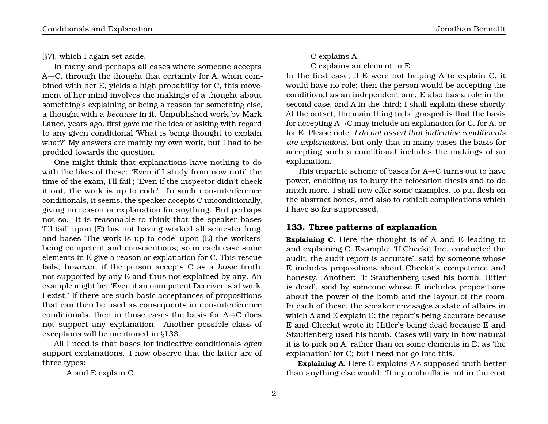(§7), which I again set aside.

In many and perhaps all cases where someone accepts A→C, through the thought that certainty for A, when combined with her E, yields a high probability for C, this movement of her mind involves the makings of a thought about something's explaining or being a reason for something else, a thought with a *because* in it. Unpublished work by Mark Lance, years ago, first gave me the idea of asking with regard to any given conditional 'What is being thought to explain what?' My answers are mainly my own work, but I had to be prodded towards the question.

One might think that explanations have nothing to do with the likes of these: 'Even if I study from now until the time of the exam, I'll fail'; 'Even if the inspector didn't check it out, the work is up to code'. In such non-interference conditionals, it seems, the speaker accepts C unconditionally, giving no reason or explanation for anything. But perhaps not so. It is reasonable to think that the speaker bases 'I'll fail' upon (E) his not having worked all semester long, and bases 'The work is up to code' upon (E) the workers' being competent and conscientious; so in each case some elements in E give a reason or explanation for C. This rescue fails, however, if the person accepts C as a *basic* truth, not supported by any E and thus not explained by any. An example might be: 'Even if an omnipotent Deceiver is at work, I exist.' If there are such basic acceptances of propositions that can then be used as consequents in non-interference conditionals, then in those cases the basis for  $A \rightarrow C$  does not support any explanation. Another possible class of exceptions will be mentioned in §133.

All I need is that bases for indicative conditionals *often* support explanations. I now observe that the latter are of three types:

A and E explain C.

C explains A.

C explains an element in E.

In the first case, if E were not helping A to explain C, it would have no role; then the person would be accepting the conditional as an independent one. E also has a role in the second case, and A in the third; I shall explain these shortly. At the outset, the main thing to be grasped is that the basis for accepting A→C may include an explanation for C, for A, or for E. Please note: *I do not assert that indicative conditionals are explanations*, but only that in many cases the basis for accepting such a conditional includes the makings of an explanation.

This tripartite scheme of bases for  $A \rightarrow C$  turns out to have power, enabling us to bury the relocation thesis and to do much more. I shall now offer some examples, to put flesh on the abstract bones, and also to exhibit complications which I have so far suppressed.

#### **133. Three patterns of explanation**

**Explaining C.** Here the thought is of A and E leading to and explaining C. Example: 'If Checkit Inc. conducted the audit, the audit report is accurate', said by someone whose E includes propositions about Checkit's competence and honesty. Another: 'If Stauffenberg used his bomb, Hitler is dead', said by someone whose E includes propositions about the power of the bomb and the layout of the room. In each of these, the speaker envisages a state of affairs in which A and E explain C: the report's being accurate because E and Checkit wrote it; Hitler's being dead because E and Stauffenberg used his bomb. Cases will vary in how natural it is to pick on A, rather than on some elements in E, as 'the explanation' for C; but I need not go into this.

**Explaining A.** Here C explains A's supposed truth better than anything else would. 'If my umbrella is not in the coat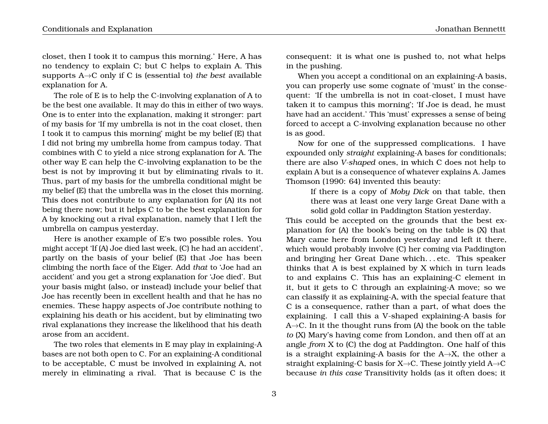closet, then I took it to campus this morning.' Here, A has no tendency to explain C; but C helps to explain A. This supports A→C only if C is (essential to) *the best* available explanation for A.

The role of E is to help the C-involving explanation of A to be the best one available. It may do this in either of two ways. One is to enter into the explanation, making it stronger: part of my basis for 'If my umbrella is not in the coat closet, then I took it to campus this morning' might be my belief (E) that I did not bring my umbrella home from campus today. That combines with C to yield a nice strong explanation for A. The other way E can help the C-involving explanation to be the best is not by improving it but by eliminating rivals to it. Thus, part of my basis for the umbrella conditional might be my belief (E) that the umbrella was in the closet this morning. This does not contribute to any explanation for (A) its not being there now; but it helps C to be the best explanation for A by knocking out a rival explanation, namely that I left the umbrella on campus yesterday.

Here is another example of E's two possible roles. You might accept 'If (A) Joe died last week, (C) he had an accident', partly on the basis of your belief (E) that Joe has been climbing the north face of the Eiger. Add *that* to 'Joe had an accident' and you get a strong explanation for 'Joe died'. But your basis might (also, or instead) include your belief that Joe has recently been in excellent health and that he has no enemies. These happy aspects of Joe contribute nothing to explaining his death or his accident, but by eliminating two rival explanations they increase the likelihood that his death arose from an accident.

The two roles that elements in E may play in explaining-A bases are not both open to C. For an explaining-A conditional to be acceptable, C must be involved in explaining A, not merely in eliminating a rival. That is because C is the

consequent: it is what one is pushed to, not what helps in the pushing.

When you accept a conditional on an explaining-A basis, you can properly use some cognate of 'must' in the consequent: 'If the umbrella is not in coat-closet, I must have taken it to campus this morning'; 'If Joe is dead, he must have had an accident.' This 'must' expresses a sense of being forced to accept a C-involving explanation because no other is as good.

Now for one of the suppressed complications. I have expounded only *straight* explaining-A bases for conditionals; there are also *V-shaped* ones, in which C does not help to explain A but is a consequence of whatever explains A. James Thomson (1990: 64) invented this beauty:

> If there is a copy of *Moby Dick* on that table, then there was at least one very large Great Dane with a solid gold collar in Paddington Station yesterday.

This could be accepted on the grounds that the best explanation for (A) the book's being on the table is (X) that Mary came here from London yesterday and left it there, which would probably involve (C) her coming via Paddington and bringing her Great Dane which...etc. This speaker thinks that A is best explained by X which in turn leads to and explains C. This has an explaining-C element in it, but it gets to C through an explaining-A move; so we can classify it as explaining-A, with the special feature that C is a consequence, rather than a part, of what does the explaining. I call this a V-shaped explaining-A basis for  $A \rightarrow C$ . In it the thought runs from (A) the book on the table *to* (X) Mary's having come from London, and then off at an angle *from* X to (C) the dog at Paddington. One half of this is a straight explaining-A basis for the  $A \rightarrow X$ , the other a straight explaining-C basis for X→C. These jointly yield A→C because *in this case* Transitivity holds (as it often does; it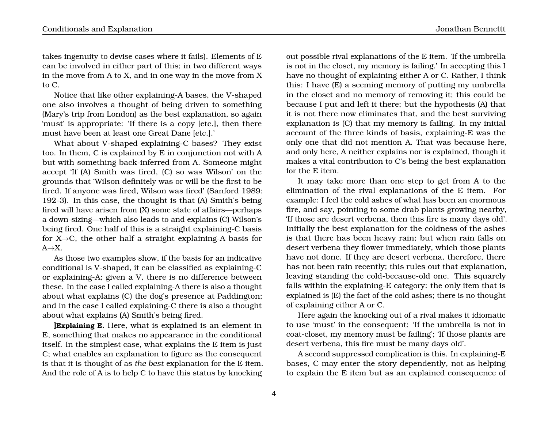takes ingenuity to devise cases where it fails). Elements of E can be involved in either part of this; in two different ways in the move from A to X, and in one way in the move from X to C.

Notice that like other explaining-A bases, the V-shaped one also involves a thought of being driven to something (Mary's trip from London) as the best explanation, so again 'must' is appropriate: 'If there is a copy [etc.], then there must have been at least one Great Dane [etc.].'

What about V-shaped explaining-C bases? They exist too. In them, C is explained by E in conjunction not with A but with something back-inferred from A. Someone might accept 'If (A) Smith was fired, (C) so was Wilson' on the grounds that 'Wilson definitely was or will be the first to be fired. If anyone was fired, Wilson was fired' (Sanford 1989: 192-3). In this case, the thought is that (A) Smith's being fired will have arisen from (X) some state of affairs—perhaps a down-sizing—which also leads to and explains (C) Wilson's being fired. One half of this is a straight explaining-C basis for X→C, the other half a straight explaining-A basis for  $A \rightarrow X$ .

As those two examples show, if the basis for an indicative conditional is V-shaped, it can be classified as explaining-C or explaining-A; given a V, there is no difference between these. In the case I called explaining-A there is also a thought about what explains (C) the dog's presence at Paddington; and in the case I called explaining-C there is also a thought about what explains (A) Smith's being fired.

**]Explaining E.** Here, what is explained is an element in E, something that makes no appearance in the conditional itself. In the simplest case, what explains the E item is just C; what enables an explanation to figure as the consequent is that it is thought of as *the best* explanation for the E item. And the role of A is to help C to have this status by knocking

out possible rival explanations of the E item. 'If the umbrella is not in the closet, my memory is failing.' In accepting this I have no thought of explaining either A or C. Rather, I think this: I have (E) a seeming memory of putting my umbrella in the closet and no memory of removing it; this could be because I put and left it there; but the hypothesis (A) that it is not there now eliminates that, and the best surviving explanation is (C) that my memory is failing. In my initial account of the three kinds of basis, explaining-E was the only one that did not mention A. That was because here, and only here, A neither explains nor is explained, though it makes a vital contribution to C's being the best explanation for the E item.

It may take more than one step to get from A to the elimination of the rival explanations of the E item. For example: I feel the cold ashes of what has been an enormous fire, and say, pointing to some drab plants growing nearby, 'If those are desert verbena, then this fire is many days old'. Initially the best explanation for the coldness of the ashes is that there has been heavy rain; but when rain falls on desert verbena they flower immediately, which those plants have not done. If they are desert verbena, therefore, there has not been rain recently; this rules out that explanation, leaving standing the cold-because-old one. This squarely falls within the explaining-E category: the only item that is explained is (E) the fact of the cold ashes; there is no thought of explaining either A or C.

Here again the knocking out of a rival makes it idiomatic to use 'must' in the consequent: 'If the umbrella is not in coat-closet, my memory must be failing'; 'If those plants are desert verbena, this fire must be many days old'.

A second suppressed complication is this. In explaining-E bases, C may enter the story dependently, not as helping to explain the E item but as an explained consequence of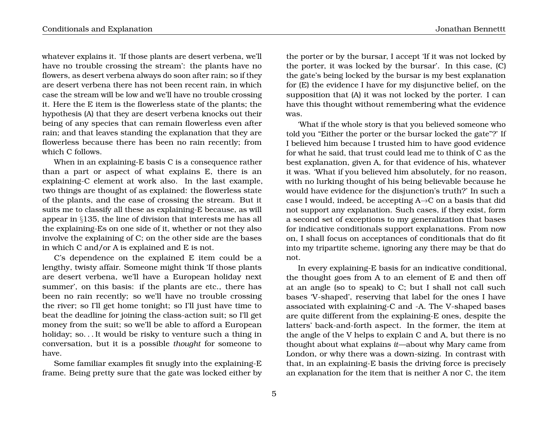whatever explains it. 'If those plants are desert verbena, we'll have no trouble crossing the stream': the plants have no flowers, as desert verbena always do soon after rain; so if they are desert verbena there has not been recent rain, in which case the stream will be low and we'll have no trouble crossing it. Here the E item is the flowerless state of the plants; the hypothesis (A) that they are desert verbena knocks out their being of any species that can remain flowerless even after rain; and that leaves standing the explanation that they are flowerless because there has been no rain recently; from which C follows.

When in an explaining-E basis C is a consequence rather than a part or aspect of what explains E, there is an explaining-C element at work also. In the last example, two things are thought of as explained: the flowerless state of the plants, and the ease of crossing the stream. But it suits me to classify all these as explaining-E because, as will appear in §135, the line of division that interests me has all the explaining-Es on one side of it, whether or not they also involve the explaining of C; on the other side are the bases in which C and/or A is explained and E is not.

C's dependence on the explained E item could be a lengthy, twisty affair. Someone might think 'If those plants are desert verbena, we'll have a European holiday next summer', on this basis: if the plants are etc., there has been no rain recently; so we'll have no trouble crossing the river; so I'll get home tonight; so I'll just have time to beat the deadline for joining the class-action suit; so I'll get money from the suit; so we'll be able to afford a European holiday; so. . . It would be risky to venture such a thing in conversation, but it is a possible *thought* for someone to have.

Some familiar examples fit snugly into the explaining-E frame. Being pretty sure that the gate was locked either by

the porter or by the bursar, I accept 'If it was not locked by the porter, it was locked by the bursar'. In this case, (C) the gate's being locked by the bursar is my best explanation for (E) the evidence I have for my disjunctive belief, on the supposition that (A) it was not locked by the porter. I can have this thought without remembering what the evidence was.

'What if the whole story is that you believed someone who told you "Either the porter or the bursar locked the gate"?' If I believed him because I trusted him to have good evidence for what he said, that trust could lead me to think of C as the best explanation, given A, for that evidence of his, whatever it was. 'What if you believed him absolutely, for no reason, with no lurking thought of his being believable because he would have evidence for the disjunction's truth?' In such a case I would, indeed, be accepting A→C on a basis that did not support any explanation. Such cases, if they exist, form a second set of exceptions to my generalization that bases for indicative conditionals support explanations. From now on, I shall focus on acceptances of conditionals that do fit into my tripartite scheme, ignoring any there may be that do not.

In every explaining-E basis for an indicative conditional, the thought goes from A to an element of E and then off at an angle (so to speak) to C; but I shall not call such bases 'V-shaped', reserving that label for the ones I have associated with explaining-C and -A. The V-shaped bases are quite different from the explaining-E ones, despite the latters' back-and-forth aspect. In the former, the item at the angle of the V helps to explain C and A, but there is no thought about what explains *it*—about why Mary came from London, or why there was a down-sizing. In contrast with that, in an explaining-E basis the driving force is precisely an explanation for the item that is neither A nor C, the item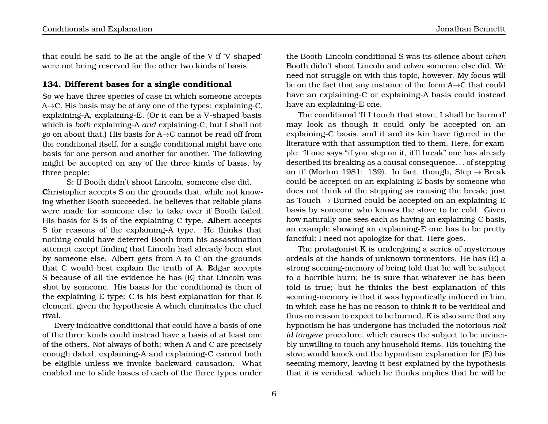that could be said to lie at the angle of the V if 'V-shaped' were not being reserved for the other two kinds of basis.

## **134. Different bases for a single conditional**

So we have three species of case in which someone accepts A→C. His basis may be of any one of the types: explaining-C, explaining-A, explaining-E. (Or it can be a V-shaped basis which is *both* explaining-A *and* explaining-C; but I shall not go on about that.) His basis for A→C cannot be read off from the conditional itself, for a single conditional might have one basis for one person and another for another. The following might be accepted on any of the three kinds of basis, by three people:

S: If Booth didn't shoot Lincoln, someone else did. **C**hristopher accepts S on the grounds that, while not knowing whether Booth succeeded, he believes that reliable plans were made for someone else to take over if Booth failed. His basis for S is of the explaining-C type. **A**lbert accepts S for reasons of the explaining-A type. He thinks that nothing could have deterred Booth from his assassination attempt except finding that Lincoln had already been shot by someone else. Albert gets from A to C on the grounds that C would best explain the truth of A. **E**dgar accepts S because of all the evidence he has (E) that Lincoln was shot by someone. His basis for the conditional is then of the explaining-E type: C is his best explanation for that E element, given the hypothesis A which eliminates the chief rival.

Every indicative conditional that could have a basis of one of the three kinds could instead have a basis of at least one of the others. Not always of both: when A and C are precisely enough dated, explaining-A and explaining-C cannot both be eligible unless we invoke backward causation. What enabled me to slide bases of each of the three types under

the Booth-Lincoln conditional S was its silence about *when* Booth didn't shoot Lincoln and *when* someone else did. We need not struggle on with this topic, however. My focus will be on the fact that any instance of the form A→C that could have an explaining-C or explaining-A basis could instead have an explaining-E one.

The conditional 'If I touch that stove, I shall be burned' may look as though it could only be accepted on an explaining-C basis, and it and its kin have figured in the literature with that assumption tied to them. Here, for example: 'If one says "if you step on it, it'll break" one has already described its breaking as a causal consequence. . . of stepping on it' (Morton 1981: 139). In fact, though, Step  $\rightarrow$  Break could be accepted on an explaining-E basis by someone who does not think of the stepping as causing the break; just as Touch  $\rightarrow$  Burned could be accepted on an explaining-E basis by someone who knows the stove to be cold. Given how naturally one sees each as having an explaining-C basis, an example showing an explaining-E one has to be pretty fanciful; I need not apologize for that. Here goes.

The protagonist K is undergoing a series of mysterious ordeals at the hands of unknown tormentors. He has (E) a strong seeming-memory of being told that he will be subject to a horrible burn; he is sure that whatever he has been told is true; but he thinks the best explanation of this seeming-memory is that it was hypnotically induced in him, in which case he has no reason to think it to be veridical and thus no reason to expect to be burned. K is also sure that any hypnotism he has undergone has included the notorious *noli id tangere* procedure, which causes the subject to be invincibly unwilling to touch any household items. His touching the stove would knock out the hypnotism explanation for (E) his seeming memory, leaving it best explained by the hypothesis that it is veridical, which he thinks implies that he will be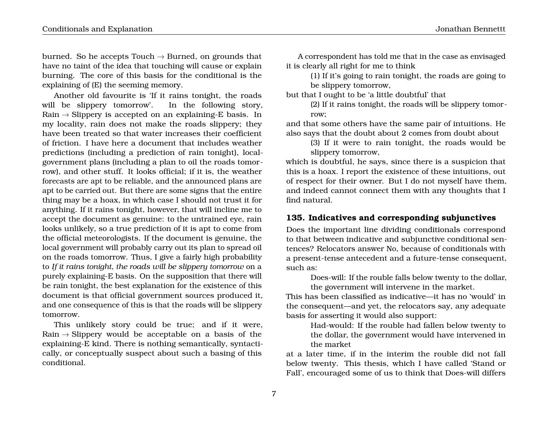burned. So he accepts Touch  $\rightarrow$  Burned, on grounds that have no taint of the idea that touching will cause or explain burning. The core of this basis for the conditional is the explaining of (E) the seeming memory.

Another old favourite is 'If it rains tonight, the roads will be slippery tomorrow'. In the following story,  $Rain \rightarrow Slippery$  is accepted on an explaining-E basis. In my locality, rain does not make the roads slippery; they have been treated so that water increases their coefficient of friction. I have here a document that includes weather predictions (including a prediction of rain tonight), localgovernment plans (including a plan to oil the roads tomorrow), and other stuff. It looks official; if it is, the weather forecasts are apt to be reliable, and the announced plans are apt to be carried out. But there are some signs that the entire thing may be a hoax, in which case I should not trust it for anything. If it rains tonight, however, that will incline me to accept the document as genuine: to the untrained eye, rain looks unlikely, so a true prediction of it is apt to come from the official meteorologists. If the document is genuine, the local government will probably carry out its plan to spread oil on the roads tomorrow. Thus, I give a fairly high probability to *If it rains tonight, the roads will be slippery tomorrow* on a purely explaining-E basis. On the supposition that there will be rain tonight, the best explanation for the existence of this document is that official government sources produced it, and one consequence of this is that the roads will be slippery tomorrow.

This unlikely story could be true; and if it were,  $Rain \rightarrow Slippery$  would be acceptable on a basis of the explaining-E kind. There is nothing semantically, syntactically, or conceptually suspect about such a basing of this conditional.

A correspondent has told me that in the case as envisaged it is clearly all right for me to think

(1) If it's going to rain tonight, the roads are going to be slippery tomorrow,

but that I ought to be 'a little doubtful' that

(2) If it rains tonight, the roads will be slippery tomorrow;

and that some others have the same pair of intuitions. He also says that the doubt about 2 comes from doubt about

(3) If it were to rain tonight, the roads would be slippery tomorrow,

which is doubtful, he says, since there is a suspicion that this is a hoax. I report the existence of these intuitions, out of respect for their owner. But I do not myself have them, and indeed cannot connect them with any thoughts that I find natural.

#### **135. Indicatives and corresponding subjunctives**

Does the important line dividing conditionals correspond to that between indicative and subjunctive conditional sentences? Relocators answer No, because of conditionals with a present-tense antecedent and a future-tense consequent, such as:

Does-will: If the rouble falls below twenty to the dollar, the government will intervene in the market.

This has been classified as indicative—it has no 'would' in the consequent—and yet, the relocators say, any adequate basis for asserting it would also support:

> Had-would: If the rouble had fallen below twenty to the dollar, the government would have intervened in the market

at a later time, if in the interim the rouble did not fall below twenty. This thesis, which I have called 'Stand or Fall', encouraged some of us to think that Does-will differs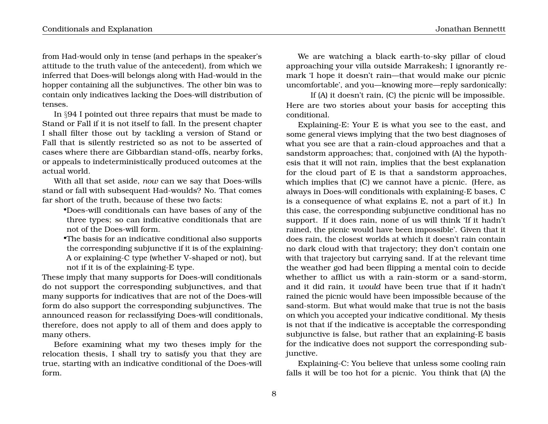from Had-would only in tense (and perhaps in the speaker's attitude to the truth value of the antecedent), from which we inferred that Does-will belongs along with Had-would in the hopper containing all the subjunctives. The other bin was to contain only indicatives lacking the Does-will distribution of tenses.

In §94 I pointed out three repairs that must be made to Stand or Fall if it is not itself to fall. In the present chapter I shall filter those out by tackling a version of Stand or Fall that is silently restricted so as not to be asserted of cases where there are Gibbardian stand-offs, nearby forks, or appeals to indeterministically produced outcomes at the actual world.

With all that set aside, *now* can we say that Does-wills stand or fall with subsequent Had-woulds? No. That comes far short of the truth, because of these two facts:

- •Does-will conditionals can have bases of any of the three types; so can indicative conditionals that are not of the Does-will form.
- •The basis for an indicative conditional also supports the corresponding subjunctive if it is of the explaining-A or explaining-C type (whether V-shaped or not), but not if it is of the explaining-E type.

These imply that many supports for Does-will conditionals do not support the corresponding subjunctives, and that many supports for indicatives that are not of the Does-will form do also support the corresponding subjunctives. The announced reason for reclassifying Does-will conditionals, therefore, does not apply to all of them and does apply to many others.

Before examining what my two theses imply for the relocation thesis, I shall try to satisfy you that they are true, starting with an indicative conditional of the Does-will form.

We are watching a black earth-to-sky pillar of cloud approaching your villa outside Marrakesh; I ignorantly remark 'I hope it doesn't rain—that would make our picnic uncomfortable', and you—knowing more—reply sardonically:

If (A) it doesn't rain, (C) the picnic will be impossible. Here are two stories about your basis for accepting this conditional.

Explaining-E: Your E is what you see to the east, and some general views implying that the two best diagnoses of what you see are that a rain-cloud approaches and that a sandstorm approaches; that, conjoined with (A) the hypothesis that it will not rain, implies that the best explanation for the cloud part of E is that a sandstorm approaches, which implies that (C) we cannot have a picnic. (Here, as always in Does-will conditionals with explaining-E bases, C is a consequence of what explains E, not a part of it.) In this case, the corresponding subjunctive conditional has no support. If it does rain, none of us will think 'If it hadn't rained, the picnic would have been impossible'. Given that it does rain, the closest worlds at which it doesn't rain contain no dark cloud with that trajectory; they don't contain one with that trajectory but carrying sand. If at the relevant time the weather god had been flipping a mental coin to decide whether to afflict us with a rain-storm or a sand-storm, and it did rain, it *would* have been true that if it hadn't rained the picnic would have been impossible because of the sand-storm. But what would make that true is not the basis on which you accepted your indicative conditional. My thesis is not that if the indicative is acceptable the corresponding subjunctive is false, but rather that an explaining-E basis for the indicative does not support the corresponding subjunctive.

Explaining-C: You believe that unless some cooling rain falls it will be too hot for a picnic. You think that (A) the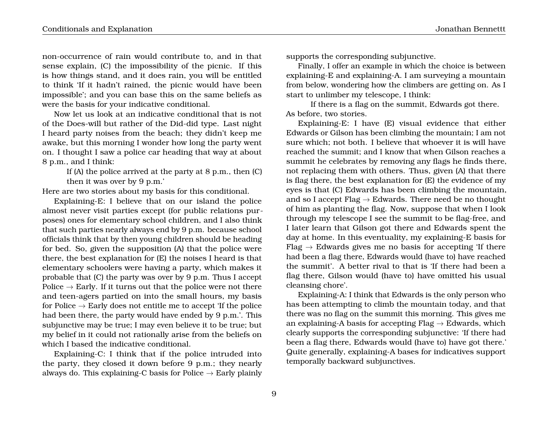non-occurrence of rain would contribute to, and in that sense explain, (C) the impossibility of the picnic. If this is how things stand, and it does rain, you will be entitled to think 'If it hadn't rained, the picnic would have been impossible'; and you can base this on the same beliefs as were the basis for your indicative conditional.

Now let us look at an indicative conditional that is not of the Does-will but rather of the Did-did type. Last night I heard party noises from the beach; they didn't keep me awake, but this morning I wonder how long the party went on. I thought I saw a police car heading that way at about 8 p.m., and I think:

> If (A) the police arrived at the party at 8 p.m., then (C) then it was over by 9 p.m.'

Here are two stories about my basis for this conditional.

Explaining-E: I believe that on our island the police almost never visit parties except (for public relations purposes) ones for elementary school children, and I also think that such parties nearly always end by 9 p.m. because school officials think that by then young children should be heading for bed. So, given the supposition (A) that the police were there, the best explanation for (E) the noises I heard is that elementary schoolers were having a party, which makes it probable that (C) the party was over by 9 p.m. Thus I accept Police  $\rightarrow$  Early. If it turns out that the police were not there and teen-agers partied on into the small hours, my basis for Police  $\rightarrow$  Early does not entitle me to accept 'If the police had been there, the party would have ended by 9 p.m.'. This subjunctive may be true; I may even believe it to be true; but my belief in it could not rationally arise from the beliefs on which I based the indicative conditional.

Explaining-C: I think that if the police intruded into the party, they closed it down before 9 p.m.; they nearly always do. This explaining-C basis for Police  $\rightarrow$  Early plainly

supports the corresponding subjunctive.

Finally, I offer an example in which the choice is between explaining-E and explaining-A. I am surveying a mountain from below, wondering how the climbers are getting on. As I start to unlimber my telescope, I think:

If there is a flag on the summit, Edwards got there. As before, two stories.

Explaining-E: I have (E) visual evidence that either Edwards or Gilson has been climbing the mountain; I am not sure which; not both. I believe that whoever it is will have reached the summit; and I know that when Gilson reaches a summit he celebrates by removing any flags he finds there, not replacing them with others. Thus, given (A) that there is flag there, the best explanation for (E) the evidence of my eyes is that (C) Edwards has been climbing the mountain, and so I accept  $Flag \rightarrow Edwards$ . There need be no thought of him as planting the flag. Now, suppose that when I look through my telescope I see the summit to be flag-free, and I later learn that Gilson got there and Edwards spent the day at home. In this eventuality, my explaining-E basis for Flag  $\rightarrow$  Edwards gives me no basis for accepting 'If there had been a flag there, Edwards would (have to) have reached the summit'. A better rival to that is 'If there had been a flag there, Gilson would (have to) have omitted his usual cleansing chore'.

Explaining-A: I think that Edwards is the only person who has been attempting to climb the mountain today, and that there was no flag on the summit this morning. This gives me an explaining-A basis for accepting  $Flag \rightarrow Edwards$ , which clearly supports the corresponding subjunctive: 'If there had been a flag there, Edwards would (have to) have got there.' Quite generally, explaining-A bases for indicatives support temporally backward subjunctives.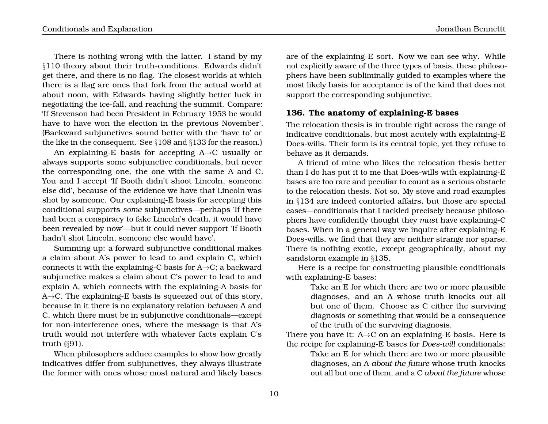There is nothing wrong with the latter. I stand by my §110 theory about their truth-conditions. Edwards didn't get there, and there is no flag. The closest worlds at which there is a flag are ones that fork from the actual world at about noon, with Edwards having slightly better luck in negotiating the ice-fall, and reaching the summit. Compare: 'If Stevenson had been President in February 1953 he would have to have won the election in the previous November'. (Backward subjunctives sound better with the 'have to' or the like in the consequent. See §108 and §133 for the reason.)

An explaining-E basis for accepting A→C usually or always supports some subjunctive conditionals, but never the corresponding one, the one with the same A and C. You and I accept 'If Booth didn't shoot Lincoln, someone else did', because of the evidence we have that Lincoln was shot by someone. Our explaining-E basis for accepting this conditional supports *some* subjunctives—perhaps 'If there had been a conspiracy to fake Lincoln's death, it would have been revealed by now'—but it could never support 'If Booth hadn't shot Lincoln, someone else would have'.

Summing up: a forward subjunctive conditional makes a claim about A's power to lead to and explain C, which connects it with the explaining-C basis for A→C; a backward subjunctive makes a claim about C's power to lead to and explain A, which connects with the explaining-A basis for A→C. The explaining-E basis is squeezed out of this story, because in it there is no explanatory relation *between* A and C, which there must be in subjunctive conditionals—except for non-interference ones, where the message is that A's truth would not interfere with whatever facts explain C's truth (§91).

When philosophers adduce examples to show how greatly indicatives differ from subjunctives, they always illustrate the former with ones whose most natural and likely bases

are of the explaining-E sort. Now we can see why. While not explicitly aware of the three types of basis, these philosophers have been subliminally guided to examples where the most likely basis for acceptance is of the kind that does not support the corresponding subjunctive.

#### **136. The anatomy of explaining-E bases**

The relocation thesis is in trouble right across the range of indicative conditionals, but most acutely with explaining-E Does-wills. Their form is its central topic, yet they refuse to behave as it demands.

A friend of mine who likes the relocation thesis better than I do has put it to me that Does-wills with explaining-E bases are too rare and peculiar to count as a serious obstacle to the relocation thesis. Not so. My stove and road examples in §134 are indeed contorted affairs, but those are special cases—conditionals that I tackled precisely because philosophers have confidently thought they *must* have explaining-C bases. When in a general way we inquire after explaining-E Does-wills, we find that they are neither strange nor sparse. There is nothing exotic, except geographically, about my sandstorm example in §135.

Here is a recipe for constructing plausible conditionals with explaining-E bases:

> Take an E for which there are two or more plausible diagnoses, and an A whose truth knocks out all but one of them. Choose as C either the surviving diagnosis or something that would be a consequence of the truth of the surviving diagnosis.

There you have it:  $A \rightarrow C$  on an explaining-E basis. Here is the recipe for explaining-E bases for *Does-will* conditionals:

> Take an E for which there are two or more plausible diagnoses, an A *about the future* whose truth knocks out all but one of them, and a C *about the future* whose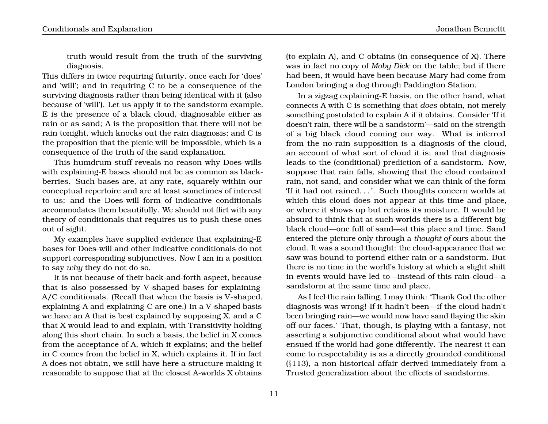truth would result from the truth of the surviving diagnosis.

This differs in twice requiring futurity, once each for 'does' and 'will'; and in requiring C to be a consequence of the surviving diagnosis rather than being identical with it (also because of 'will'). Let us apply it to the sandstorm example. E is the presence of a black cloud, diagnosable either as rain or as sand; A is the proposition that there will not be rain tonight, which knocks out the rain diagnosis; and C is the proposition that the picnic will be impossible, which is a consequence of the truth of the sand explanation.

This humdrum stuff reveals no reason why Does-wills with explaining-E bases should not be as common as blackberries. Such bases are, at any rate, squarely within our conceptual repertoire and are at least sometimes of interest to us; and the Does-will form of indicative conditionals accommodates them beautifully. We should not flirt with any theory of conditionals that requires us to push these ones out of sight.

My examples have supplied evidence that explaining-E bases for Does-will and other indicative conditionals do not support corresponding subjunctives. Now I am in a position to say *why* they do not do so.

It is not because of their back-and-forth aspect, because that is also possessed by V-shaped bases for explaining-A/C conditionals. (Recall that when the basis is V-shaped, explaining-A and explaining-C are one.) In a V-shaped basis we have an A that is best explained by supposing X, and a C that X would lead to and explain, with Transitivity holding along this short chain. In such a basis, the belief in X comes from the acceptance of A, which it explains; and the belief in C comes from the belief in X, which explains it. If in fact A does not obtain, we still have here a structure making it reasonable to suppose that at the closest A-worlds X obtains

(to explain A), and C obtains (in consequence of X). There was in fact no copy of *Moby Dick* on the table; but if there had been, it would have been because Mary had come from London bringing a dog through Paddington Station.

In a zigzag explaining-E basis, on the other hand, what connects A with C is something that *does* obtain, not merely something postulated to explain A if *it* obtains. Consider 'If it doesn't rain, there will be a sandstorm'—said on the strength of a big black cloud coming our way. What is inferred from the no-rain supposition is a diagnosis of the cloud, an account of what sort of cloud it is; and that diagnosis leads to the (conditional) prediction of a sandstorm. Now, suppose that rain falls, showing that the cloud contained rain, not sand, and consider what we can think of the form 'If it had not rained. . . '. Such thoughts concern worlds at which this cloud does not appear at this time and place, or where it shows up but retains its moisture. It would be absurd to think that at such worlds there is a different big black cloud—one full of sand—at this place and time. Sand entered the picture only through a *thought of ours* about the cloud. It was a sound thought: the cloud-appearance that we saw was bound to portend either rain or a sandstorm. But there is no time in the world's history at which a slight shift in events would have led to—instead of this rain-cloud—a sandstorm at the same time and place.

As I feel the rain falling, I may think: 'Thank God the other diagnosis was wrong! If it hadn't been—if the cloud hadn't been bringing rain—we would now have sand flaying the skin off our faces.' That, though, is playing with a fantasy, not asserting a subjunctive conditional about what would have ensued if the world had gone differently. The nearest it can come to respectability is as a directly grounded conditional (§113), a non-historical affair derived immediately from a Trusted generalization about the effects of sandstorms.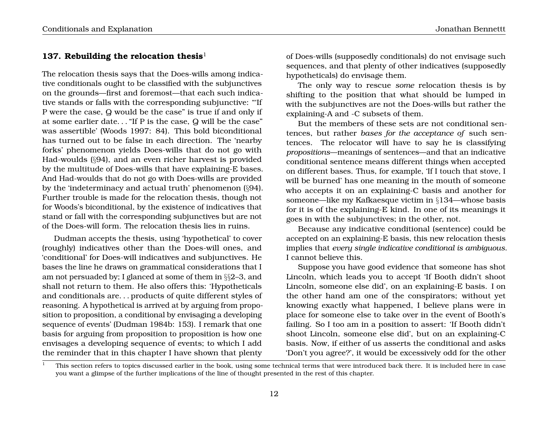## **137. Rebuilding the relocation thesis**<sup>1</sup>

The relocation thesis says that the Does-wills among indicative conditionals ought to be classified with the subjunctives on the grounds—first and foremost—that each such indicative stands or falls with the corresponding subjunctive: "'If P were the case, Q would be the case" is true if and only if at some earlier date. . . "If P is the case, Q will be the case" was assertible' (Woods 1997: 84). This bold biconditional has turned out to be false in each direction. The 'nearby forks' phenomenon yields Does-wills that do not go with Had-woulds (§94), and an even richer harvest is provided by the multitude of Does-wills that have explaining-E bases. And Had-woulds that do not go with Does-wills are provided by the 'indeterminacy and actual truth' phenomenon (§94). Further trouble is made for the relocation thesis, though not for Woods's biconditional, by the existence of indicatives that stand or fall with the corresponding subjunctives but are not of the Does-will form. The relocation thesis lies in ruins.

Dudman accepts the thesis, using 'hypothetical' to cover (roughly) indicatives other than the Does-will ones, and 'conditional' for Does-will indicatives and subjunctives. He bases the line he draws on grammatical considerations that I am not persuaded by; I glanced at some of them in §§2–3, and shall not return to them. He also offers this: 'Hypotheticals and conditionals are. . . products of quite different styles of reasoning. A hypothetical is arrived at by arguing from proposition to proposition, a conditional by envisaging a developing sequence of events' (Dudman 1984b: 153). I remark that one basis for arguing from proposition to proposition is how one envisages a developing sequence of events; to which I add the reminder that in this chapter I have shown that plenty

of Does-wills (supposedly conditionals) do not envisage such sequences, and that plenty of other indicatives (supposedly hypotheticals) do envisage them.

The only way to rescue *some* relocation thesis is by shifting to the position that what should be lumped in with the subjunctives are not the Does-wills but rather the explaining-A and -C subsets of them.

But the members of these sets are not conditional sentences, but rather *bases for the acceptance of* such sentences. The relocator will have to say he is classifying *propositions*—meanings of sentences—and that an indicative conditional sentence means different things when accepted on different bases. Thus, for example, 'If I touch that stove, I will be burned' has one meaning in the mouth of someone who accepts it on an explaining-C basis and another for someone—like my Kafkaesque victim in §134—whose basis for it is of the explaining-E kind. In one of its meanings it goes in with the subjunctives; in the other, not.

Because any indicative conditional (sentence) could be accepted on an explaining-E basis, this new relocation thesis implies that *every single indicative conditional is ambiguous*. I cannot believe this.

Suppose you have good evidence that someone has shot Lincoln, which leads you to accept 'If Booth didn't shoot Lincoln, someone else did', on an explaining-E basis. I on the other hand am one of the conspirators; without yet knowing exactly what happened, I believe plans were in place for someone else to take over in the event of Booth's failing. So I too am in a position to assert: 'If Booth didn't shoot Lincoln, someone else did', but on an explaining-C basis. Now, if either of us asserts the conditional and asks 'Don't you agree?', it would be excessively odd for the other

<sup>1</sup> This section refers to topics discussed earlier in the book, using some technical terms that were introduced back there. It is included here in case you want a glimpse of the further implications of the line of thought presented in the rest of this chapter.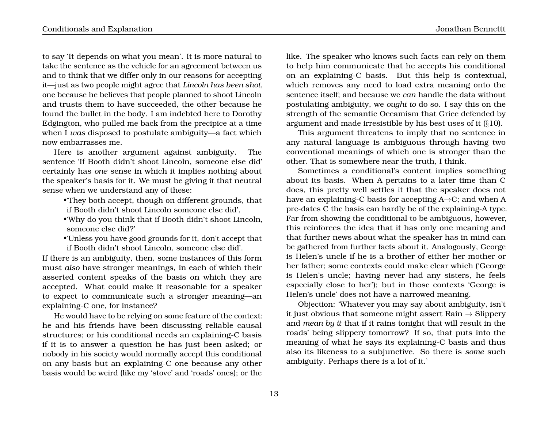to say 'It depends on what you mean'. It is more natural to take the sentence as the vehicle for an agreement between us and to think that we differ only in our reasons for accepting it—just as two people might agree that *Lincoln has been shot*, one because he believes that people planned to shoot Lincoln and trusts them to have succeeded, the other because he found the bullet in the body. I am indebted here to Dorothy Edgington, who pulled me back from the precipice at a time when I *was* disposed to postulate ambiguity—a fact which now embarrasses me.

Here is another argument against ambiguity. The sentence 'If Booth didn't shoot Lincoln, someone else did' certainly has *one* sense in which it implies nothing about the speaker's basis for it. We must be giving it that neutral sense when we understand any of these:

- •'They both accept, though on different grounds, that if Booth didn't shoot Lincoln someone else did',
- 
- •'Why do you think that if Booth didn't shoot Lincoln, someone else did?'
- •'Unless you have good grounds for it, don't accept that if Booth didn't shoot Lincoln, someone else did'.

If there is an ambiguity, then, some instances of this form must *also* have stronger meanings, in each of which their asserted content speaks of the basis on which they are accepted. What could make it reasonable for a speaker to expect to communicate such a stronger meaning—an explaining-C one, for instance?

He would have to be relying on some feature of the context: he and his friends have been discussing reliable causal structures; or his conditional needs an explaining-C basis if it is to answer a question he has just been asked; or nobody in his society would normally accept this conditional on any basis but an explaining-C one because any other basis would be weird (like my 'stove' and 'roads' ones); or the

like. The speaker who knows such facts can rely on them to help him communicate that he accepts his conditional on an explaining-C basis. But this help is contextual, which removes any need to load extra meaning onto the sentence itself; and because we *can* handle the data without postulating ambiguity, we *ought to* do so. I say this on the strength of the semantic Occamism that Grice defended by argument and made irresistible by his best uses of it (§10).

This argument threatens to imply that no sentence in any natural language is ambiguous through having two conventional meanings of which one is stronger than the other. That is somewhere near the truth, I think.

Sometimes a conditional's content implies something about its basis. When A pertains to a later time than C does, this pretty well settles it that the speaker does not have an explaining-C basis for accepting A→C; and when A pre-dates C the basis can hardly be of the explaining-A type. Far from showing the conditional to be ambiguous, however, this reinforces the idea that it has only one meaning and that further news about what the speaker has in mind can be gathered from further facts about it. Analogously, George is Helen's uncle if he is a brother of either her mother or her father; some contexts could make clear which ('George is Helen's uncle; having never had any sisters, he feels especially close to her'); but in those contexts 'George is Helen's uncle' does not have a narrowed meaning.

Objection: 'Whatever you may say about ambiguity, isn't it just obvious that someone might assert Rain  $\rightarrow$  Slippery and *mean by it* that if it rains tonight that will result in the roads' being slippery tomorrow? If so, that puts into the meaning of what he says its explaining-C basis and thus also its likeness to a subjunctive. So there is *some* such ambiguity. Perhaps there is a lot of it.'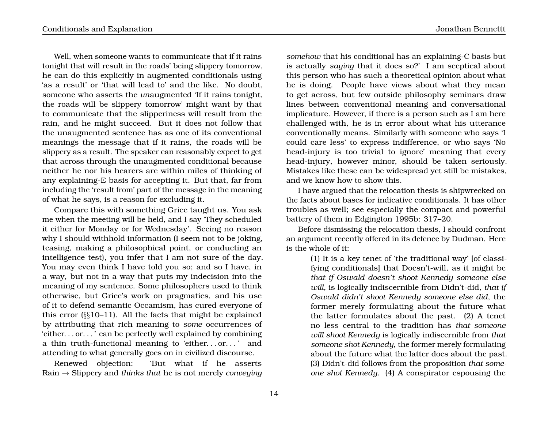Well, when someone wants to communicate that if it rains

tonight that will result in the roads' being slippery tomorrow, he can do this explicitly in augmented conditionals using 'as a result' or 'that will lead to' and the like. No doubt, someone who asserts the *un*augmented 'If it rains tonight, the roads will be slippery tomorrow' might want by that to communicate that the slipperiness will result from the rain, and he might succeed. But it does not follow that the unaugmented sentence has as one of its conventional meanings the message that if it rains, the roads will be slippery as a result. The speaker can reasonably expect to get that across through the unaugmented conditional because neither he nor his hearers are within miles of thinking of any explaining-E basis for accepting it. But that, far from including the 'result from' part of the message in the meaning of what he says, is a reason for excluding it.

Compare this with something Grice taught us. You ask me when the meeting will be held, and I say 'They scheduled it either for Monday or for Wednesday'. Seeing no reason why I should withhold information (I seem not to be joking, teasing, making a philosophical point, or conducting an intelligence test), you infer that I am not sure of the day. You may even think I have told you so; and so I have, in a way, but not in a way that puts my indecision into the meaning of my sentence. Some philosophers used to think otherwise, but Grice's work on pragmatics, and his use of it to defend semantic Occamism, has cured everyone of this error  $(\S_{\S}10-11)$ . All the facts that might be explained by attributing that rich meaning to *some* occurrences of 'either. . . or. . . ' can be perfectly well explained by combining a thin truth-functional meaning to 'either. . . or. . . ' and attending to what generally goes on in civilized discourse.

Renewed objection: 'But what if he asserts Rain → Slippery and *thinks that* he is not merely *conveying*

*somehow* that his conditional has an explaining-C basis but is actually *saying* that it does so?' I am sceptical about this person who has such a theoretical opinion about what he is doing. People have views about what they mean to get across, but few outside philosophy seminars draw lines between conventional meaning and conversational implicature. However, if there is a person such as I am here challenged with, he is in error about what his utterance conventionally means. Similarly with someone who says 'I could care less' to express indifference, or who says 'No head-injury is too trivial to ignore' meaning that every head-injury, however minor, should be taken seriously. Mistakes like these can be widespread yet still be mistakes, and we know how to show this.

I have argued that the relocation thesis is shipwrecked on the facts about bases for indicative conditionals. It has other troubles as well; see especially the compact and powerful battery of them in Edgington 1995b: 317–20.

Before dismissing the relocation thesis, I should confront an argument recently offered in its defence by Dudman. Here is the whole of it:

> (1) It is a key tenet of 'the traditional way' [of classifying conditionals] that Doesn't-will, as it might be *that if Oswald doesn't shoot Kennedy someone else will*, is logically indiscernible from Didn't-did, *that if Oswald didn't shoot Kennedy someone else did*, the former merely formulating about the future what the latter formulates about the past. (2) A tenet no less central to the tradition has *that someone will shoot Kennedy* is logically indiscernible from *that someone shot Kennedy*, the former merely formulating about the future what the latter does about the past. (3) Didn't-did follows from the proposition *that someone shot Kennedy*. (4) A conspirator espousing the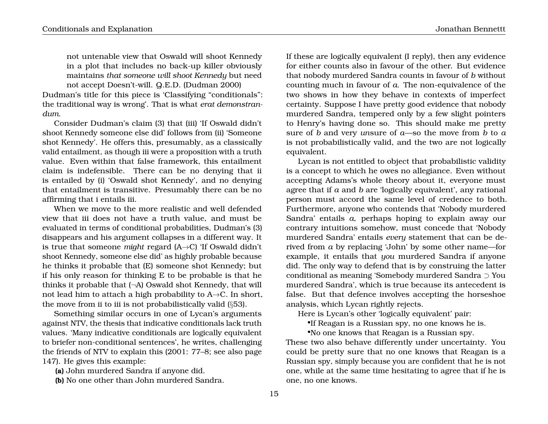not untenable view that Oswald will shoot Kennedy in a plot that includes no back-up killer obviously maintains *that someone will shoot Kennedy* but need not accept Doesn't-will. Q.E.D. (Dudman 2000)

Dudman's title for this piece is 'Classifying "conditionals": the traditional way is wrong'. That is what *erat demonstrandum*.

Consider Dudman's claim (3) that (iii) 'If Oswald didn't shoot Kennedy someone else did' follows from (ii) 'Someone shot Kennedy'. He offers this, presumably, as a classically valid entailment, as though iii were a proposition with a truth value. Even within that false framework, this entailment claim is indefensible. There can be no denying that ii is entailed by (i) 'Oswald shot Kennedy', and no denying that entailment is transitive. Presumably there can be no affirming that i entails iii.

When we move to the more realistic and well defended view that iii does not have a truth value, and must be evaluated in terms of conditional probabilities, Dudman's (3) disappears and his argument collapses in a different way. It is true that someone *might* regard (A→C) 'If Oswald didn't shoot Kennedy, someone else did' as highly probable because he thinks it probable that (E) someone shot Kennedy; but if his only reason for thinking E to be probable is that he thinks it probable that (¬A) Oswald shot Kennedy, that will not lead him to attach a high probability to A→C. In short, the move from ii to iii is not probabilistically valid (§53).

Something similar occurs in one of Lycan's arguments against NTV, the thesis that indicative conditionals lack truth values. 'Many indicative conditionals are logically equivalent to briefer non-conditional sentences', he writes, challenging the friends of NTV to explain this (2001: 77–8; see also page 147). He gives this example:

**(a)** John murdered Sandra if anyone did.

**(b)** No one other than John murdered Sandra.

If these are logically equivalent (I reply), then any evidence for either counts also in favour of the other. But evidence that nobody murdered Sandra counts in favour of *b* without counting much in favour of *a*. The non-equivalence of the two shows in how they behave in contexts of imperfect certainty. Suppose I have pretty good evidence that nobody murdered Sandra, tempered only by a few slight pointers to Henry's having done so. This should make me pretty sure of *b* and very *un*sure of *a*—so the move from *b* to *a* is not probabilistically valid, and the two are not logically equivalent.

Lycan is not entitled to object that probabilistic validity is a concept to which he owes no allegiance. Even without accepting Adams's whole theory about it, everyone must agree that if *a* and *b* are 'logically equivalent', any rational person must accord the same level of credence to both. Furthermore, anyone who contends that 'Nobody murdered Sandra' entails *a*, perhaps hoping to explain away our contrary intuitions somehow, must concede that 'Nobody murdered Sandra' entails *every* statement that can be derived from *a* by replacing 'John' by some other name—for example, it entails that *you* murdered Sandra if anyone did. The only way to defend that is by construing the latter conditional as meaning 'Somebody murdered Sandra ⊃ You murdered Sandra', which is true because its antecedent is false. But that defence involves accepting the horseshoe analysis, which Lycan rightly rejects.

Here is Lycan's other 'logically equivalent' pair:

•If Reagan is a Russian spy, no one knows he is.

•No one knows that Reagan is a Russian spy.

These two also behave differently under uncertainty. You could be pretty sure that no one knows that Reagan is a Russian spy, simply because you are confident that he is not one, while at the same time hesitating to agree that if he is one, no one knows.